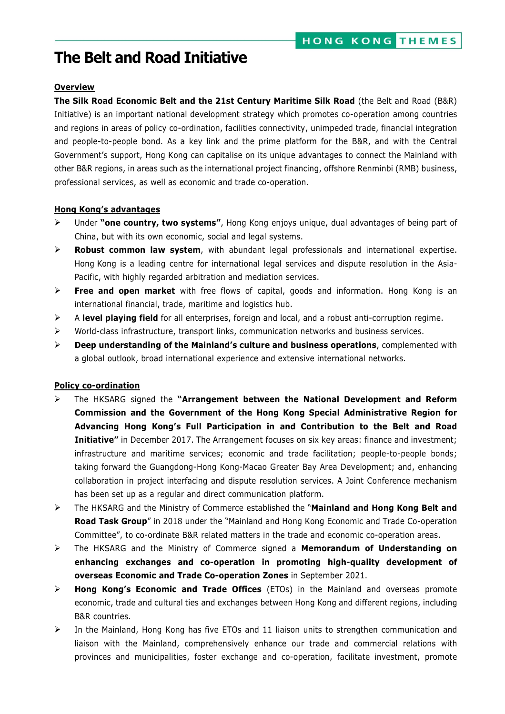# **The Belt and Road Initiative**

#### **Overview**

**The Silk Road Economic Belt and the 21st Century Maritime Silk Road** (the Belt and Road (B&R) Initiative) is an important national development strategy which promotes co-operation among countries and regions in areas of policy co-ordination, facilities connectivity, unimpeded trade, financial integration and people-to-people bond. As a key link and the prime platform for the B&R, and with the Central Government's support, Hong Kong can capitalise on its unique advantages to connect the Mainland with other B&R regions, in areas such as the international project financing, offshore Renminbi (RMB) business, professional services, as well as economic and trade co-operation.

#### **Hong Kong's advantages**

- Under **"one country, two systems"**, Hong Kong enjoys unique, dual advantages of being part of China, but with its own economic, social and legal systems.
- **Robust common law system**, with abundant legal professionals and international expertise. Hong Kong is a leading centre for international legal services and dispute resolution in the Asia-Pacific, with highly regarded arbitration and mediation services.
- **Free and open market** with free flows of capital, goods and information. Hong Kong is an international financial, trade, maritime and logistics hub.
- A **level playing field** for all enterprises, foreign and local, and a robust anti-corruption regime.
- $\triangleright$  World-class infrastructure, transport links, communication networks and business services.
- **Deep understanding of the Mainland's culture and business operations**, complemented with a global outlook, broad international experience and extensive international networks.

## **Policy co-ordination**

- The HKSARG signed the **"Arrangement between the National Development and Reform Commission and the Government of the Hong Kong Special Administrative Region for Advancing Hong Kong's Full Participation in and Contribution to the Belt and Road Initiative"** in December 2017. The Arrangement focuses on six key areas: finance and investment; infrastructure and maritime services; economic and trade facilitation; people-to-people bonds; taking forward the Guangdong-Hong Kong-Macao Greater Bay Area Development; and, enhancing collaboration in project interfacing and dispute resolution services. A Joint Conference mechanism has been set up as a regular and direct communication platform.
- The HKSARG and the Ministry of Commerce established the "**Mainland and Hong Kong Belt and Road Task Group**" in 2018 under the "Mainland and Hong Kong Economic and Trade Co-operation Committee", to co-ordinate B&R related matters in the trade and economic co-operation areas.
- The HKSARG and the Ministry of Commerce signed a **Memorandum of Understanding on enhancing exchanges and co-operation in promoting high-quality development of overseas Economic and Trade Co-operation Zones** in September 2021.
- **Hong Kong's Economic and Trade Offices** (ETOs) in the Mainland and overseas promote economic, trade and cultural ties and exchanges between Hong Kong and different regions, including B&R countries.
- $\triangleright$  In the Mainland, Hong Kong has five ETOs and 11 liaison units to strengthen communication and liaison with the Mainland, comprehensively enhance our trade and commercial relations with provinces and municipalities, foster exchange and co-operation, facilitate investment, promote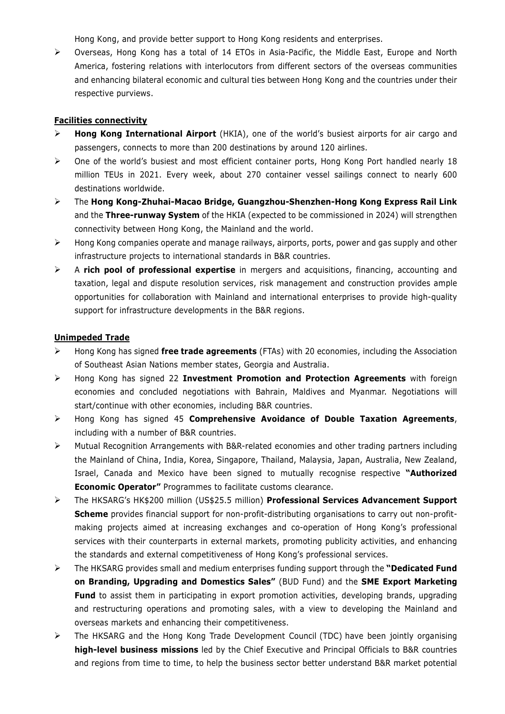Hong Kong, and provide better support to Hong Kong residents and enterprises.

 Overseas, Hong Kong has a total of 14 ETOs in Asia-Pacific, the Middle East, Europe and North America, fostering relations with interlocutors from different sectors of the overseas communities and enhancing bilateral economic and cultural ties between Hong Kong and the countries under their respective purviews.

#### **Facilities connectivity**

- **Hong Kong International Airport** (HKIA), one of the world's busiest airports for air cargo and passengers, connects to more than 200 destinations by around 120 airlines.
- $\triangleright$  One of the world's busiest and most efficient container ports, Hong Kong Port handled nearly 18 million TEUs in 2021. Every week, about 270 container vessel sailings connect to nearly 600 destinations worldwide.
- The **Hong Kong-Zhuhai-Macao Bridge, Guangzhou-Shenzhen-Hong Kong Express Rail Link** and the **Three-runway System** of the HKIA (expected to be commissioned in 2024) will strengthen connectivity between Hong Kong, the Mainland and the world.
- $\triangleright$  Hong Kong companies operate and manage railways, airports, ports, power and gas supply and other infrastructure projects to international standards in B&R countries.
- A **rich pool of professional expertise** in mergers and acquisitions, financing, accounting and taxation, legal and dispute resolution services, risk management and construction provides ample opportunities for collaboration with Mainland and international enterprises to provide high-quality support for infrastructure developments in the B&R regions.

#### **Unimpeded Trade**

- Hong Kong has signed **free trade agreements** (FTAs) with 20 economies, including the Association of Southeast Asian Nations member states, Georgia and Australia.
- Hong Kong has signed 22 **Investment Promotion and Protection Agreements** with foreign economies and concluded negotiations with Bahrain, Maldives and Myanmar. Negotiations will start/continue with other economies, including B&R countries.
- Hong Kong has signed 45 **Comprehensive Avoidance of Double Taxation Agreements**, including with a number of B&R countries.
- Mutual Recognition Arrangements with B&R-related economies and other trading partners including the Mainland of China, India, Korea, Singapore, Thailand, Malaysia, Japan, Australia, New Zealand, Israel, Canada and Mexico have been signed to mutually recognise respective **"Authorized Economic Operator"** Programmes to facilitate customs clearance.
- The HKSARG's HK\$200 million (US\$25.5 million) **Professional Services Advancement Support Scheme** provides financial support for non-profit-distributing organisations to carry out non-profitmaking projects aimed at increasing exchanges and co-operation of Hong Kong's professional services with their counterparts in external markets, promoting publicity activities, and enhancing the standards and external competitiveness of Hong Kong's professional services.
- The HKSARG provides small and medium enterprises funding support through the **"Dedicated Fund on Branding, Upgrading and Domestics Sales"** (BUD Fund) and the **SME Export Marketing Fund** to assist them in participating in export promotion activities, developing brands, upgrading and restructuring operations and promoting sales, with a view to developing the Mainland and overseas markets and enhancing their competitiveness.
- The HKSARG and the Hong Kong Trade Development Council (TDC) have been jointly organising **high-level business missions** led by the Chief Executive and Principal Officials to B&R countries and regions from time to time, to help the business sector better understand B&R market potential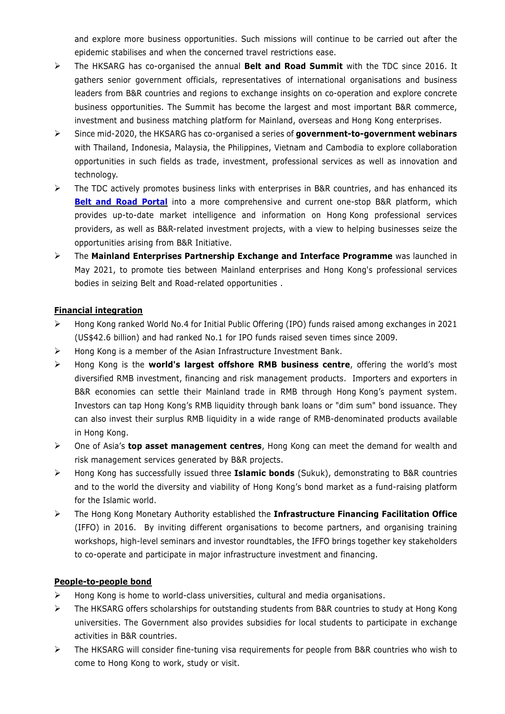and explore more business opportunities. Such missions will continue to be carried out after the epidemic stabilises and when the concerned travel restrictions ease.

- The HKSARG has co-organised the annual **Belt and Road Summit** with the TDC since 2016. It gathers senior government officials, representatives of international organisations and business leaders from B&R countries and regions to exchange insights on co-operation and explore concrete business opportunities. The Summit has become the largest and most important B&R commerce, investment and business matching platform for Mainland, overseas and Hong Kong enterprises.
- Since mid-2020, the HKSARG has co-organised a series of **government-to-government webinars** with Thailand, Indonesia, Malaysia, the Philippines, Vietnam and Cambodia to explore collaboration opportunities in such fields as trade, investment, professional services as well as innovation and technology.
- $\triangleright$  The TDC actively promotes business links with enterprises in B&R countries, and has enhanced its **Belt and Road [Portal](https://beltandroad.hktdc.com/en/home)** into a more comprehensive and current one-stop B&R platform, which provides up-to-date market intelligence and information on Hong Kong professional services providers, as well as B&R-related investment projects, with a view to helping businesses seize the opportunities arising from B&R Initiative.
- The **Mainland Enterprises Partnership Exchange and Interface Programme** was launched in May 2021, to promote ties between Mainland enterprises and Hong Kong's professional services bodies in seizing Belt and Road-related opportunities .

# **Financial integration**

- Hong Kong ranked World No.4 for Initial Public Offering (IPO) funds raised among exchanges in 2021 (US\$42.6 billion) and had ranked No.1 for IPO funds raised seven times since 2009.
- $\triangleright$  Hong Kong is a member of the Asian Infrastructure Investment Bank.
- Hong Kong is the **world's largest offshore RMB business centre**, offering the world's most diversified RMB investment, financing and risk management products. Importers and exporters in B&R economies can settle their Mainland trade in RMB through Hong Kong's payment system. Investors can tap Hong Kong's RMB liquidity through bank loans or "dim sum" bond issuance. They can also invest their surplus RMB liquidity in a wide range of RMB-denominated products available in Hong Kong.
- One of Asia's **top asset management centres**, Hong Kong can meet the demand for wealth and risk management services generated by B&R projects.
- Hong Kong has successfully issued three **Islamic bonds** (Sukuk), demonstrating to B&R countries and to the world the diversity and viability of Hong Kong's bond market as a fund-raising platform for the Islamic world.
- The Hong Kong Monetary Authority established the **Infrastructure Financing Facilitation Office** (IFFO) in 2016. By inviting different organisations to become partners, and organising training workshops, high-level seminars and investor roundtables, the IFFO brings together key stakeholders to co-operate and participate in major infrastructure investment and financing.

## **People-to-people bond**

- $\triangleright$  Hong Kong is home to world-class universities, cultural and media organisations.
- $\triangleright$  The HKSARG offers scholarships for outstanding students from B&R countries to study at Hong Kong universities. The Government also provides subsidies for local students to participate in exchange activities in B&R countries.
- $\triangleright$  The HKSARG will consider fine-tuning visa requirements for people from B&R countries who wish to come to Hong Kong to work, study or visit.